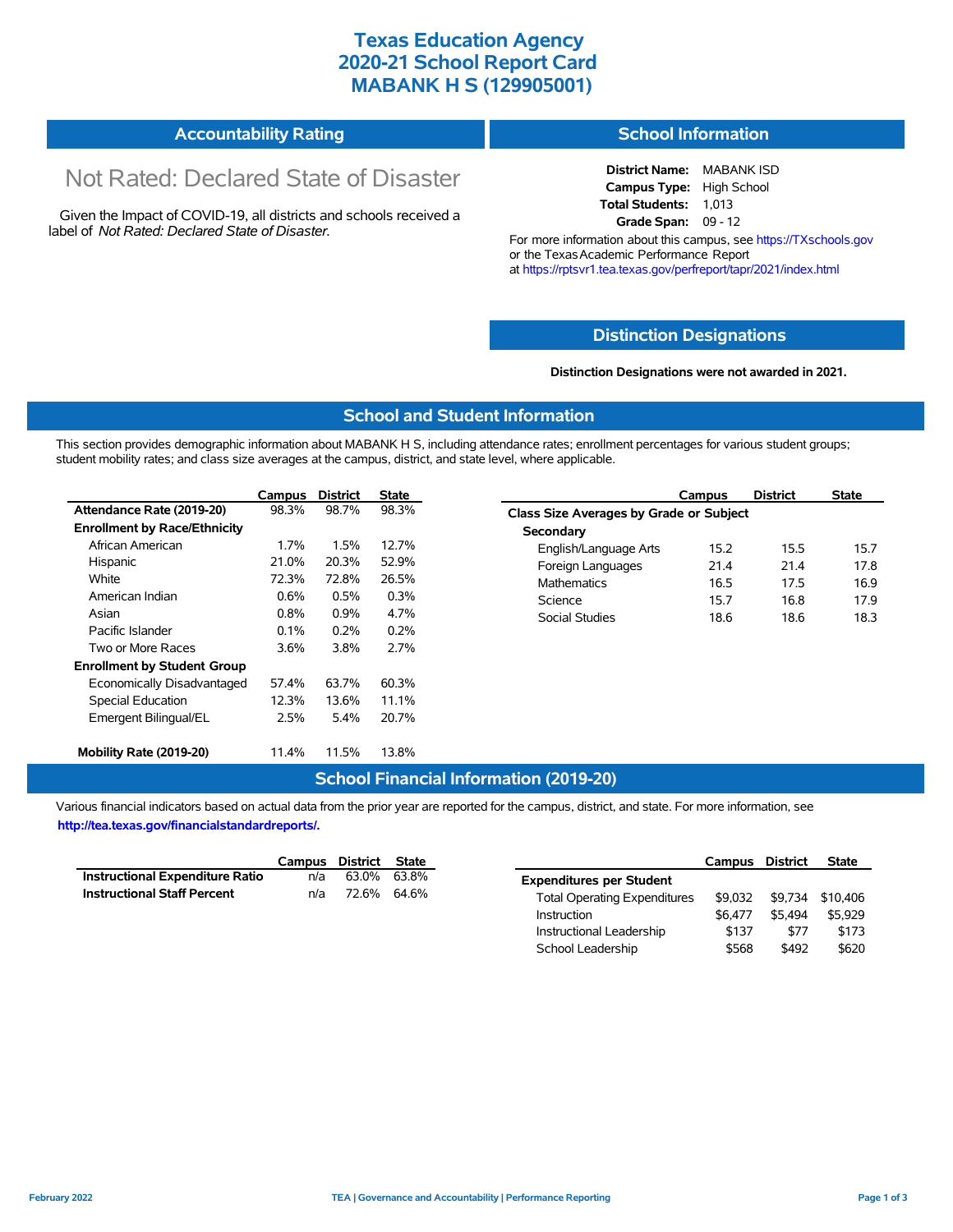# **Texas Education Agency 2020-21 School Report Card MABANK H S (129905001)**

# **Accountability Rating**

# Not Rated: Declared State of Disaster

Given the Impact of COVID-19, all districts and schools received a label of *Not Rated: Declared State of Disaster.*

# **School Information**

**District Name:** MABANK ISD **Campus Type:** High School **Total Students:** 1,013 **Grade Span:** 09 - 12

For more information about this campus, see https://TXschools.gov or the Texas Academic Performance Report at https://rptsvr1.tea.texas.gov/perfreport/tapr/2021/index.html

### **Distinction Designations**

#### **Distinction Designations were not awarded in 2021.**

School Leadership  $$568$  \$492 \$620

#### **School and Student Information**

This section provides demographic information about MABANK H S, including attendance rates; enrollment percentages for various student groups; student mobility rates; and class size averages at the campus, district, and state level, where applicable.

|                                     | Campus | <b>District</b> | <b>State</b> | Campus                                  | <b>District</b> |  |  |  |  |
|-------------------------------------|--------|-----------------|--------------|-----------------------------------------|-----------------|--|--|--|--|
| Attendance Rate (2019-20)           | 98.3%  | 98.7%           | 98.3%        | Class Size Averages by Grade or Subject |                 |  |  |  |  |
| <b>Enrollment by Race/Ethnicity</b> |        |                 |              | Secondary                               |                 |  |  |  |  |
| African American                    | 1.7%   | 1.5%            | 12.7%        | English/Language Arts<br>15.2           | 15.5            |  |  |  |  |
| Hispanic                            | 21.0%  | 20.3%           | 52.9%        | Foreign Languages<br>21.4               | 21.4            |  |  |  |  |
| White                               | 72.3%  | 72.8%           | 26.5%        | <b>Mathematics</b><br>16.5              | 17.5            |  |  |  |  |
| American Indian                     | 0.6%   | 0.5%            | 0.3%         | Science<br>15.7                         | 16.8            |  |  |  |  |
| Asian                               | 0.8%   | 0.9%            | 4.7%         | Social Studies<br>18.6                  | 18.6            |  |  |  |  |
| Pacific Islander                    | 0.1%   | 0.2%            | 0.2%         |                                         |                 |  |  |  |  |
| Two or More Races                   | 3.6%   | 3.8%            | 2.7%         |                                         |                 |  |  |  |  |
| <b>Enrollment by Student Group</b>  |        |                 |              |                                         |                 |  |  |  |  |
| Economically Disadvantaged          | 57.4%  | 63.7%           | 60.3%        |                                         |                 |  |  |  |  |
| Special Education                   | 12.3%  | 13.6%           | 11.1%        |                                         |                 |  |  |  |  |
| Emergent Bilingual/EL               | 2.5%   | 5.4%            | 20.7%        |                                         |                 |  |  |  |  |
| Mobility Rate (2019-20)             | 11.4%  | 11.5%           | 13.8%        |                                         |                 |  |  |  |  |

#### **School Financial Information (2019-20)**

Various financial indicators based on actual data from the prior year are reported for the campus, district, and state. For more information, see

**http://tea.texas.gov/financialstandardreports/.**

|                                        | Campus | District | State       |                                     | Campus  | <b>District</b> | <b>State</b>     |
|----------------------------------------|--------|----------|-------------|-------------------------------------|---------|-----------------|------------------|
| <b>Instructional Expenditure Ratio</b> | n/a    |          | 63.0% 63.8% | <b>Expenditures per Student</b>     |         |                 |                  |
| <b>Instructional Staff Percent</b>     | n/a    | 72.6%    | 64.6%       | <b>Total Operating Expenditures</b> | \$9.032 |                 | \$9,734 \$10,406 |
|                                        |        |          |             | Instruction                         | \$6.477 | \$5.494         | \$5.929          |
|                                        |        |          |             | Instructional Leadership            | \$137   | \$77            | \$173            |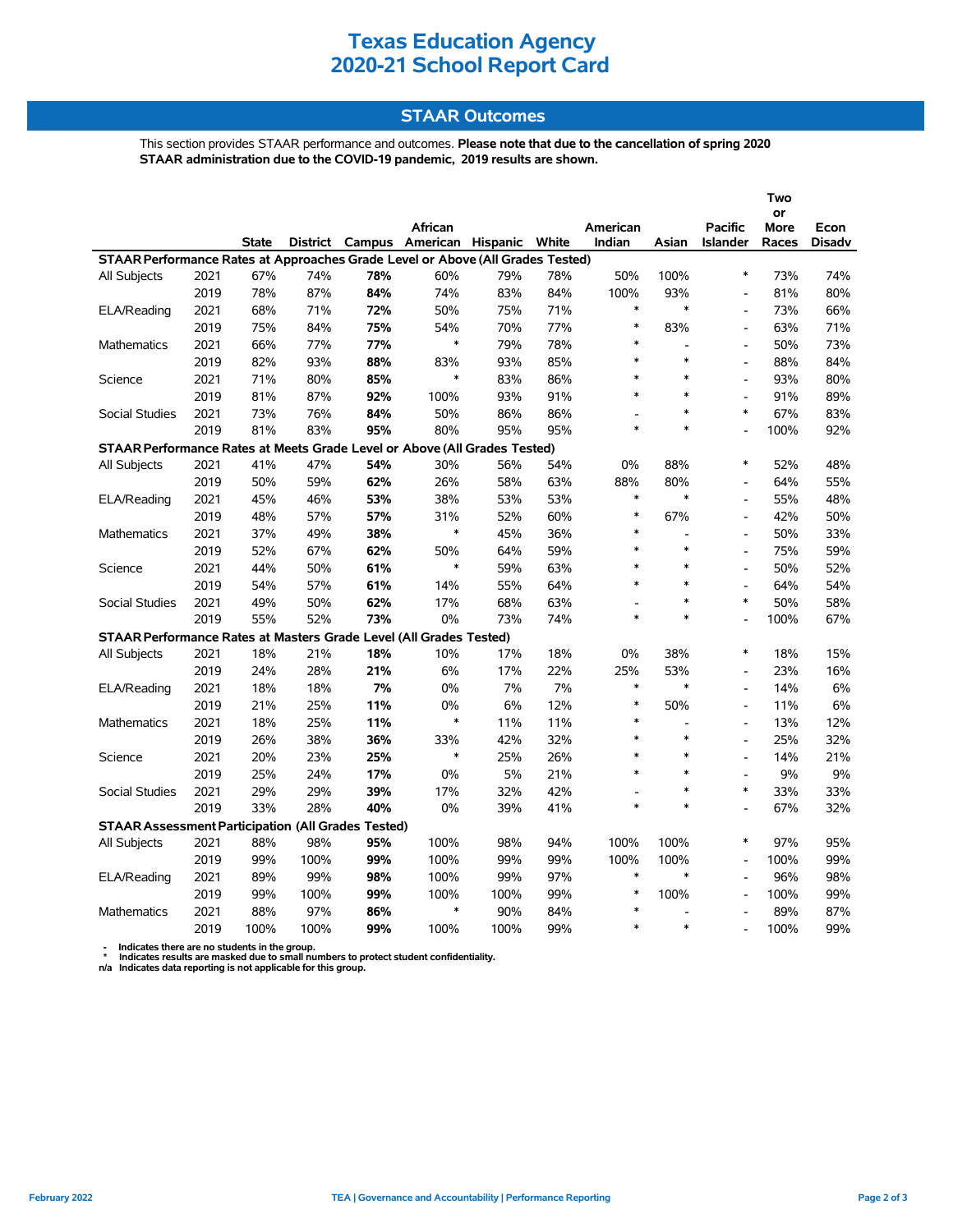# **Texas Education Agency 2020-21 School Report Card**

## **STAAR Outcomes**

This section provides STAAR performance and outcomes. **Please note that due to the cancellation of spring 2020 STAAR administration due to the COVID-19 pandemic, 2019 results are shown.**

|                                                                                          |      |       |      |     |                                         |      |     |                |                          |                 | Two   |               |
|------------------------------------------------------------------------------------------|------|-------|------|-----|-----------------------------------------|------|-----|----------------|--------------------------|-----------------|-------|---------------|
|                                                                                          |      |       |      |     |                                         |      |     |                |                          |                 | or    |               |
|                                                                                          |      |       |      |     | African                                 |      |     | American       |                          | <b>Pacific</b>  | More  | Econ          |
|                                                                                          |      | State |      |     | District Campus American Hispanic White |      |     | Indian         | Asian                    | <b>Islander</b> | Races | <b>Disadv</b> |
| STAAR Performance Rates at Approaches Grade Level or Above (All Grades Tested)<br>$\ast$ |      |       |      |     |                                         |      |     |                |                          |                 |       |               |
| All Subjects                                                                             | 2021 | 67%   | 74%  | 78% | 60%                                     | 79%  | 78% | 50%            | 100%                     |                 | 73%   | 74%           |
|                                                                                          | 2019 | 78%   | 87%  | 84% | 74%                                     | 83%  | 84% | 100%           | 93%                      | $\overline{a}$  | 81%   | 80%           |
| ELA/Reading                                                                              | 2021 | 68%   | 71%  | 72% | 50%                                     | 75%  | 71% | $\ast$         | $\ast$                   | $\overline{a}$  | 73%   | 66%           |
|                                                                                          | 2019 | 75%   | 84%  | 75% | 54%                                     | 70%  | 77% | $\ast$         | 83%                      | $\overline{a}$  | 63%   | 71%           |
| Mathematics                                                                              | 2021 | 66%   | 77%  | 77% | $\ast$                                  | 79%  | 78% | *              | $\overline{a}$           | ۰               | 50%   | 73%           |
|                                                                                          | 2019 | 82%   | 93%  | 88% | 83%                                     | 93%  | 85% | $\ast$         | $\ast$                   | $\overline{a}$  | 88%   | 84%           |
| Science                                                                                  | 2021 | 71%   | 80%  | 85% | $\ast$                                  | 83%  | 86% | $\ast$         | $\ast$                   | $\overline{a}$  | 93%   | 80%           |
|                                                                                          | 2019 | 81%   | 87%  | 92% | 100%                                    | 93%  | 91% | *              | $\ast$                   | $\overline{a}$  | 91%   | 89%           |
| Social Studies                                                                           | 2021 | 73%   | 76%  | 84% | 50%                                     | 86%  | 86% |                | $\ast$                   | $\ast$          | 67%   | 83%           |
|                                                                                          | 2019 | 81%   | 83%  | 95% | 80%                                     | 95%  | 95% | $\ast$         | $\ast$                   | $\overline{a}$  | 100%  | 92%           |
| STAAR Performance Rates at Meets Grade Level or Above (All Grades Tested)                |      |       |      |     |                                         |      |     |                |                          |                 |       |               |
| All Subjects                                                                             | 2021 | 41%   | 47%  | 54% | 30%                                     | 56%  | 54% | 0%             | 88%                      | $\ast$          | 52%   | 48%           |
|                                                                                          | 2019 | 50%   | 59%  | 62% | 26%                                     | 58%  | 63% | 88%            | 80%                      | $\overline{a}$  | 64%   | 55%           |
| ELA/Reading                                                                              | 2021 | 45%   | 46%  | 53% | 38%                                     | 53%  | 53% | $\ast$         | $\ast$                   | $\overline{a}$  | 55%   | 48%           |
|                                                                                          | 2019 | 48%   | 57%  | 57% | 31%                                     | 52%  | 60% | $\ast$         | 67%                      | L,              | 42%   | 50%           |
| Mathematics                                                                              | 2021 | 37%   | 49%  | 38% | $\ast$                                  | 45%  | 36% | $\ast$         | $\overline{a}$           | $\overline{a}$  | 50%   | 33%           |
|                                                                                          | 2019 | 52%   | 67%  | 62% | 50%                                     | 64%  | 59% | $\ast$         | $\ast$                   | $\overline{a}$  | 75%   | 59%           |
| Science                                                                                  | 2021 | 44%   | 50%  | 61% | $\ast$                                  | 59%  | 63% | $\ast$         | $\ast$                   | $\overline{a}$  | 50%   | 52%           |
|                                                                                          | 2019 | 54%   | 57%  | 61% | 14%                                     | 55%  | 64% | *              | $\ast$                   | $\overline{a}$  | 64%   | 54%           |
| <b>Social Studies</b>                                                                    | 2021 | 49%   | 50%  | 62% | 17%                                     | 68%  | 63% | $\overline{a}$ | $\ast$                   | $\ast$          | 50%   | 58%           |
|                                                                                          | 2019 | 55%   | 52%  | 73% | 0%                                      | 73%  | 74% | $\ast$         | $\ast$                   | $\overline{a}$  | 100%  | 67%           |
| STAAR Performance Rates at Masters Grade Level (All Grades Tested)                       |      |       |      |     |                                         |      |     |                |                          |                 |       |               |
| <b>All Subjects</b>                                                                      | 2021 | 18%   | 21%  | 18% | 10%                                     | 17%  | 18% | $0\%$          | 38%                      | $\ast$          | 18%   | 15%           |
|                                                                                          | 2019 | 24%   | 28%  | 21% | 6%                                      | 17%  | 22% | 25%            | 53%                      | $\overline{a}$  | 23%   | 16%           |
| ELA/Reading                                                                              | 2021 | 18%   | 18%  | 7%  | 0%                                      | 7%   | 7%  | $\ast$         | $\ast$                   | $\overline{a}$  | 14%   | 6%            |
|                                                                                          | 2019 | 21%   | 25%  | 11% | 0%                                      | 6%   | 12% | *              | 50%                      | $\overline{a}$  | 11%   | 6%            |
| Mathematics                                                                              | 2021 | 18%   | 25%  | 11% | $\ast$                                  | 11%  | 11% | $\ast$         | $\overline{a}$           | $\overline{a}$  | 13%   | 12%           |
|                                                                                          | 2019 | 26%   | 38%  | 36% | 33%                                     | 42%  | 32% | $\ast$         | $\ast$                   | $\overline{a}$  | 25%   | 32%           |
| Science                                                                                  | 2021 | 20%   | 23%  | 25% | $\ast$                                  | 25%  | 26% | $\ast$         | $\ast$                   | $\overline{a}$  | 14%   | 21%           |
|                                                                                          | 2019 | 25%   | 24%  | 17% | 0%                                      | 5%   | 21% | $\ast$         | $\ast$                   | $\overline{a}$  | 9%    | 9%            |
| Social Studies                                                                           | 2021 | 29%   | 29%  | 39% | 17%                                     | 32%  | 42% |                | $\ast$                   | $\ast$          | 33%   | 33%           |
|                                                                                          | 2019 | 33%   | 28%  | 40% | 0%                                      | 39%  | 41% | $\ast$         | $\ast$                   | $\overline{a}$  | 67%   | 32%           |
| <b>STAAR Assessment Participation (All Grades Tested)</b>                                |      |       |      |     |                                         |      |     |                |                          |                 |       |               |
| All Subjects                                                                             | 2021 | 88%   | 98%  | 95% | 100%                                    | 98%  | 94% | 100%           | 100%                     | $\ast$          | 97%   | 95%           |
|                                                                                          | 2019 | 99%   | 100% | 99% | 100%                                    | 99%  | 99% | 100%           | 100%                     | $\overline{a}$  | 100%  | 99%           |
| ELA/Reading                                                                              | 2021 | 89%   | 99%  | 98% | 100%                                    | 99%  | 97% | $\ast$         | $\ast$                   |                 | 96%   | 98%           |
|                                                                                          | 2019 | 99%   | 100% | 99% | 100%                                    | 100% | 99% | *              | 100%                     | $\overline{a}$  | 100%  | 99%           |
| Mathematics                                                                              | 2021 | 88%   | 97%  | 86% | $\ast$                                  | 90%  | 84% | $\ast$         | $\overline{\phantom{a}}$ |                 | 89%   | 87%           |
|                                                                                          | 2019 | 100%  | 100% | 99% | 100%                                    | 100% | 99% | $\ast$         | $\ast$                   | $\overline{a}$  | 100%  | 99%           |

 **- Indicates there are no students in the group. \* Indicates results are masked due to small numbers to protect student confidentiality.**

**n/a Indicates data reporting is not applicable for this group.**